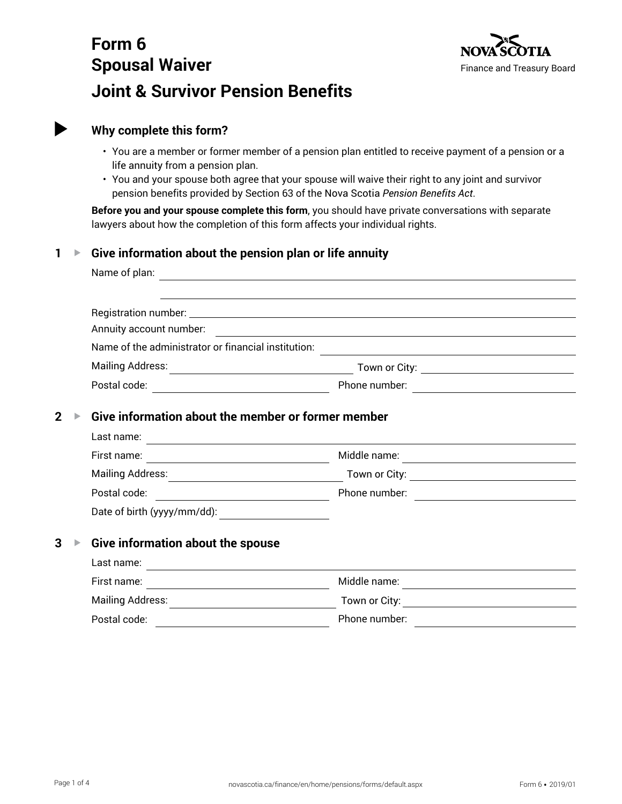# **Form 6 Spousal Waiver Joint & Survivor Pension Benefits**



# **Why complete this form?**

- You are a member or former member of a pension plan entitled to receive payment of a pension or a life annuity from a pension plan.
- You and your spouse both agree that your spouse will waive their right to any joint and survivor pension benefits provided by Section 63 of the Nova Scotia *Pension Benefits Act*.

**Before you and your spouse complete this form**, you should have private conversations with separate lawyers about how the completion of this form affects your individual rights.

# **1 ▶ Give information about the pension plan or life annuity**

| Name of plan:                                       |                                                        |
|-----------------------------------------------------|--------------------------------------------------------|
|                                                     |                                                        |
|                                                     |                                                        |
| Annuity account number:                             |                                                        |
| Name of the administrator or financial institution: |                                                        |
| <b>Mailing Address:</b>                             | Town or City: <u>Alexander State of The Contractor</u> |
| Postal code:                                        | Phone number:                                          |
|                                                     |                                                        |

# **2 ▶ Give information about the member or former member**

| Last name:                  |               |  |
|-----------------------------|---------------|--|
| First name:                 | Middle name:  |  |
| <b>Mailing Address:</b>     | Town or City: |  |
| Postal code:                | Phone number: |  |
| Date of birth (yyyy/mm/dd): |               |  |

# **3** ▶ Give information about the spouse

| Last name:       |               |
|------------------|---------------|
| First name:      | Middle name:  |
| Mailing Address: | Town or City: |
| Postal code:     | Phone number: |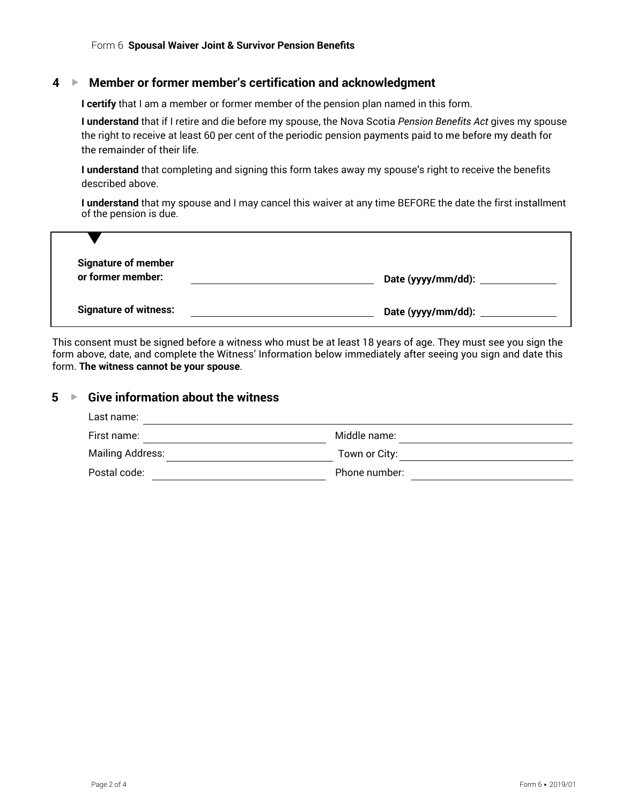#### **4** G **Member or former member's certification and acknowledgment**

**I certify** that I am a member or former member of the pension plan named in this form.

**I understand** that if I retire and die before my spouse, the Nova Scotia *Pension Benefits Act* gives my spouse the right to receive at least 60 per cent of the periodic pension payments paid to me before my death for the remainder of their life.

**I understand** that completing and signing this form takes away my spouse's right to receive the benefits described above.

**I understand** that my spouse and I may cancel this waiver at any time BEFORE the date the first installment of the pension is due.

| <b>Signature of member</b>   |                           |
|------------------------------|---------------------------|
| or former member:            | Date (yyyy/mm/dd): _      |
|                              |                           |
| <b>Signature of witness:</b> | Date (yyyy/mm/dd): $\_\_$ |

This consent must be signed before a witness who must be at least 18 years of age. They must see you sign the form above, date, and complete the Witness' Information below immediately after seeing you sign and date this form. **The witness cannot be your spouse**.

### **5** ▶ Give information about the witness

| Last name:       |               |  |
|------------------|---------------|--|
| First name:      | Middle name:  |  |
| Mailing Address: | Town or City: |  |
| Postal code:     | Phone number: |  |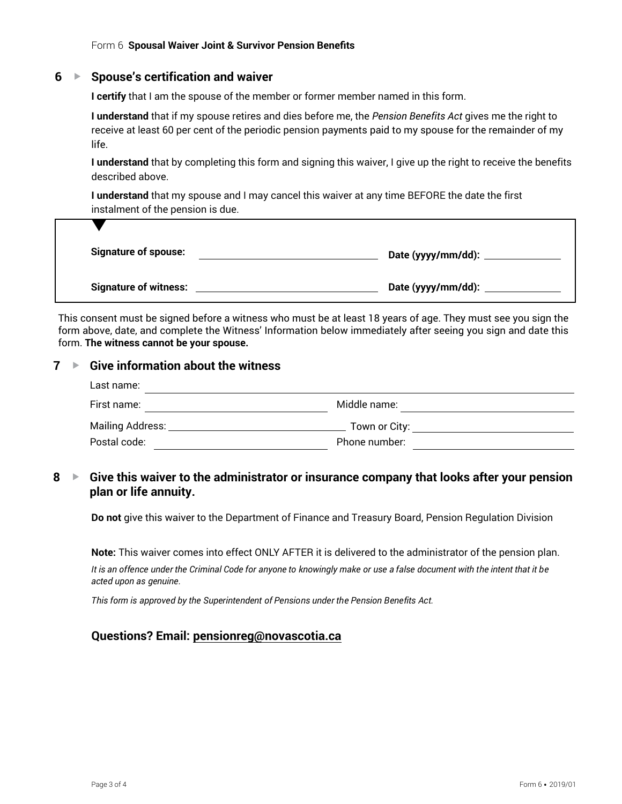### **6** G **Spouse's certification and waiver**

**I certify** that I am the spouse of the member or former member named in this form.

**I understand** that if my spouse retires and dies before me, the *Pension Benefits Act* gives me the right to receive at least 60 per cent of the periodic pension payments paid to my spouse for the remainder of my life.

**I understand** that by completing this form and signing this waiver, I give up the right to receive the benefits described above.

**I understand** that my spouse and I may cancel this waiver at any time BEFORE the date the first instalment of the pension is due.

| <b>Signature of spouse:</b>  |                           |
|------------------------------|---------------------------|
| <b>Signature of witness:</b> | Date (yyyy/mm/dd): $\_\_$ |

This consent must be signed before a witness who must be at least 18 years of age. They must see you sign the form above, date, and complete the Witness' Information below immediately after seeing you sign and date this form. **The witness cannot be your spouse.**

### **7 ▶ Give information about the witness**

| Last name:                  |               |  |
|-----------------------------|---------------|--|
| First name:                 | Middle name:  |  |
| Mailing Address: __________ | Town or City: |  |
| Postal code:                | Phone number: |  |

# **8** ► Give this waiver to the administrator or insurance company that looks after your pension **plan or life annuity.**

**Do not** give this waiver to the Department of Finance and Treasury Board, Pension Regulation Division

**Note:** This waiver comes into effect ONLY AFTER it is delivered to the administrator of the pension plan.

It is an offence under the Criminal Code for anyone to knowingly make or use a false document with the intent that it be *acted upon as genuine.*

*This form is approved by the Superintendent of Pensions under the Pension Benefits Act.*

### **Questions? Email: pensionreg@novascotia.ca**